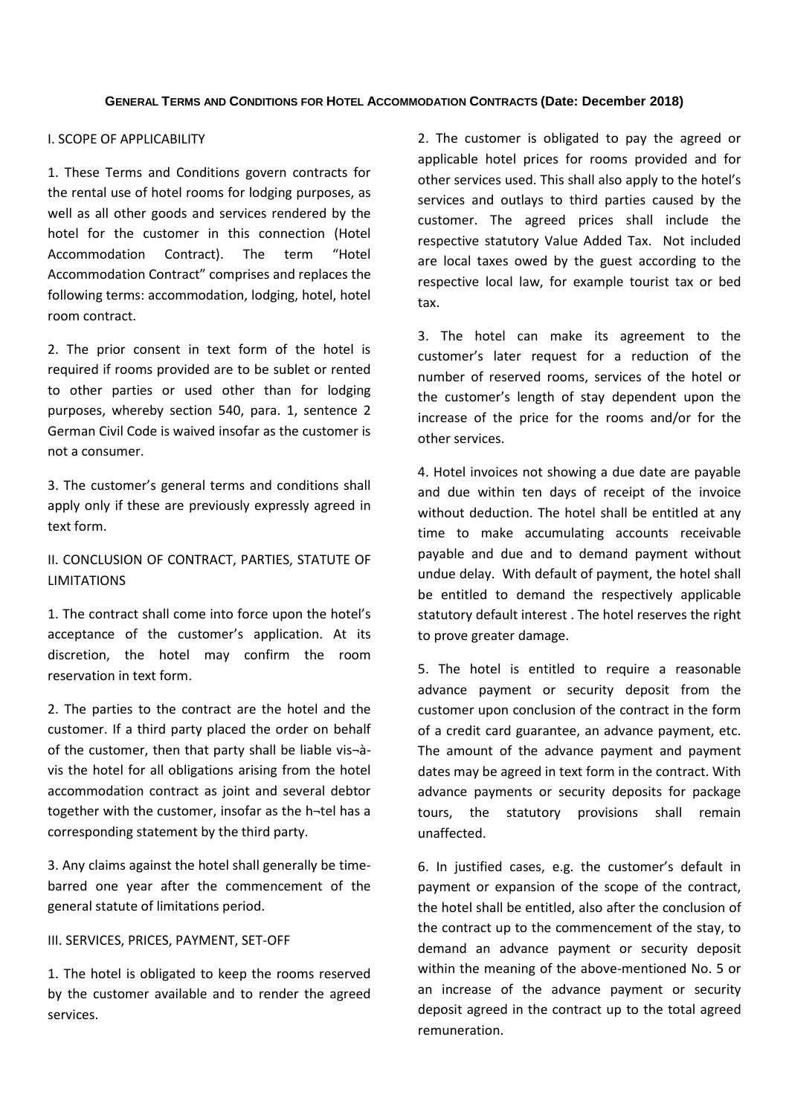## I. SCOPE OF APPLICABILITY

1. These Terms and Conditions govern contracts for the rental use of hotel rooms for lodging purposes, as well as all other goods and services rendered by the hotel for the customer in this connection (Hotel Accommodation Contract). The term "Hotel Accommodation Contract" comprises and replaces the following terms: accommodation, lodging, hotel, hotel room contract.

2. The prior consent in text form of the hotel is required if rooms provided are to be sublet or rented to other parties or used other than for lodging purposes, whereby section 540, para. 1, sentence 2 German Civil Code is waived insofar as the customer is not a consumer.

3. The customer's general terms and conditions shall apply only if these are previously expressly agreed in text form.

# II. CONCLUSION OF CONTRACT, PARTIES, STATUTE OF LIMITATIONS

1. The contract shall come into force upon the hotel's acceptance of the customer's application. At its discretion, the hotel may confirm the room reservation in text form.

2. The parties to the contract are the hotel and the customer. If a third party placed the order on behalf of the customer, then that party shall be liable vis $\neg$ àvis the hotel for all obligations arising from the hotel accommodation contract as joint and several debtor together with the customer, insofar as the h¬tel has a corresponding statement by the third party.

3. Any claims against the hotel shall generally be timebarred one year after the commencement of the general statute of limitations period.

### III. SERVICES, PRICES, PAYMENT, SET-OFF

1. The hotel is obligated to keep the rooms reserved by the customer available and to render the agreed services.

2. The customer is obligated to pay the agreed or applicable hotel prices for rooms provided and for other services used. This shall also apply to the hotel's services and outlays to third parties caused by the customer. The agreed prices shall include the respective statutory Value Added Tax. Not included are local taxes owed by the guest according to the respective local law, for example tourist tax or bed tax.

3. The hotel can make its agreement to the customer's later request for a reduction of the number of reserved rooms, services of the hotel or the customer's length of stay dependent upon the increase of the price for the rooms and/or for the other services.

4. Hotel invoices not showing a due date are payable and due within ten days of receipt of the invoice without deduction. The hotel shall be entitled at any time to make accumulating accounts receivable payable and due and to demand payment without undue delay. With default of payment, the hotel shall be entitled to demand the respectively applicable statutory default interest . The hotel reserves the right to prove greater damage.

5. The hotel is entitled to require a reasonable advance payment or security deposit from the customer upon conclusion of the contract in the form of a credit card guarantee, an advance payment, etc. The amount of the advance payment and payment dates may be agreed in text form in the contract. With advance payments or security deposits for package tours, the statutory provisions shall remain unaffected.

6. In justified cases, e.g. the customer's default in payment or expansion of the scope of the contract, the hotel shall be entitled, also after the conclusion of the contract up to the commencement of the stay, to demand an advance payment or security deposit within the meaning of the above-mentioned No. 5 or an increase of the advance payment or security deposit agreed in the contract up to the total agreed remuneration.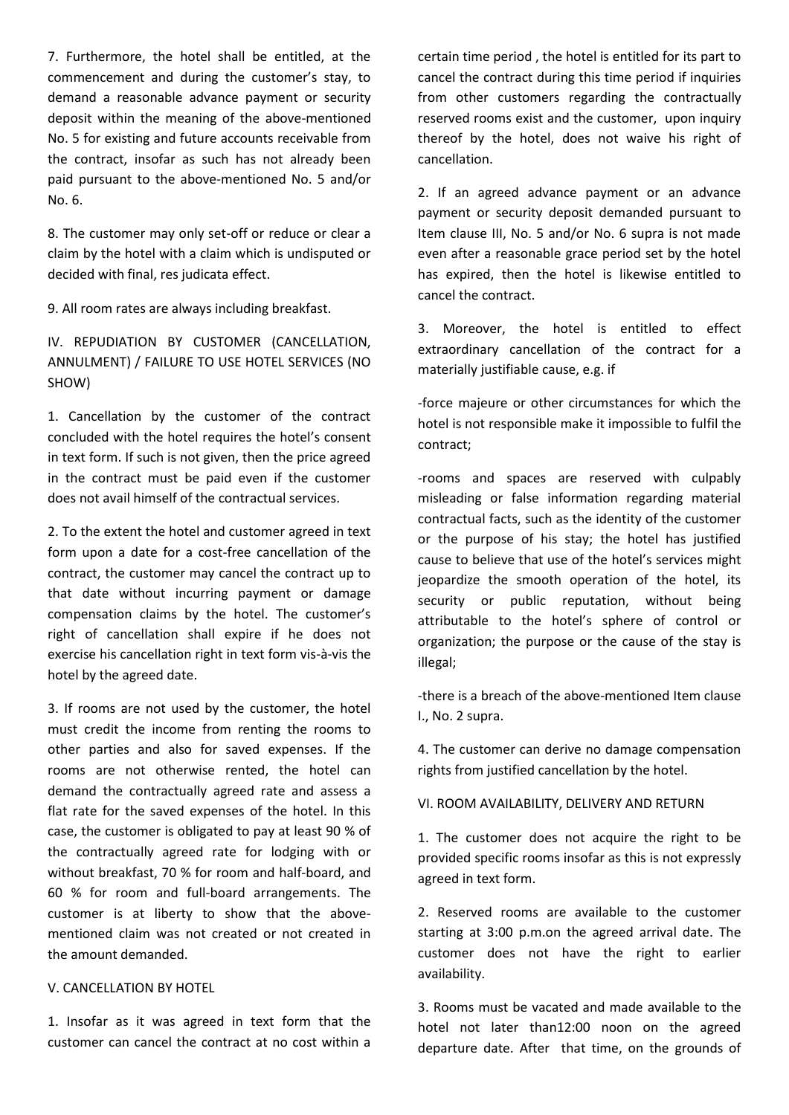7. Furthermore, the hotel shall be entitled, at the commencement and during the customer's stay, to demand a reasonable advance payment or security deposit within the meaning of the above-mentioned No. 5 for existing and future accounts receivable from the contract, insofar as such has not already been paid pursuant to the above-mentioned No. 5 and/or No. 6.

8. The customer may only set-off or reduce or clear a claim by the hotel with a claim which is undisputed or decided with final, res judicata effect.

9. All room rates are always including breakfast.

IV. REPUDIATION BY CUSTOMER (CANCELLATION, ANNULMENT) / FAILURE TO USE HOTEL SERVICES (NO SHOW)

1. Cancellation by the customer of the contract concluded with the hotel requires the hotel's consent in text form. If such is not given, then the price agreed in the contract must be paid even if the customer does not avail himself of the contractual services.

2. To the extent the hotel and customer agreed in text form upon a date for a cost-free cancellation of the contract, the customer may cancel the contract up to that date without incurring payment or damage compensation claims by the hotel. The customer's right of cancellation shall expire if he does not exercise his cancellation right in text form vis-à-vis the hotel by the agreed date.

3. If rooms are not used by the customer, the hotel must credit the income from renting the rooms to other parties and also for saved expenses. If the rooms are not otherwise rented, the hotel can demand the contractually agreed rate and assess a flat rate for the saved expenses of the hotel. In this case, the customer is obligated to pay at least 90 % of the contractually agreed rate for lodging with or without breakfast, 70 % for room and half-board, and 60 % for room and full-board arrangements. The customer is at liberty to show that the abovementioned claim was not created or not created in the amount demanded.

#### V. CANCELLATION BY HOTEL

1. Insofar as it was agreed in text form that the customer can cancel the contract at no cost within a

certain time period , the hotel is entitled for its part to cancel the contract during this time period if inquiries from other customers regarding the contractually reserved rooms exist and the customer, upon inquiry thereof by the hotel, does not waive his right of cancellation.

2. If an agreed advance payment or an advance payment or security deposit demanded pursuant to Item clause III, No. 5 and/or No. 6 supra is not made even after a reasonable grace period set by the hotel has expired, then the hotel is likewise entitled to cancel the contract.

3. Moreover, the hotel is entitled to effect extraordinary cancellation of the contract for a materially justifiable cause, e.g. if

-force majeure or other circumstances for which the hotel is not responsible make it impossible to fulfil the contract;

-rooms and spaces are reserved with culpably misleading or false information regarding material contractual facts, such as the identity of the customer or the purpose of his stay; the hotel has justified cause to believe that use of the hotel's services might jeopardize the smooth operation of the hotel, its security or public reputation, without being attributable to the hotel's sphere of control or organization; the purpose or the cause of the stay is illegal;

-there is a breach of the above-mentioned Item clause I., No. 2 supra.

4. The customer can derive no damage compensation rights from justified cancellation by the hotel.

VI. ROOM AVAILABILITY, DELIVERY AND RETURN

1. The customer does not acquire the right to be provided specific rooms insofar as this is not expressly agreed in text form.

2. Reserved rooms are available to the customer starting at 3:00 p.m.on the agreed arrival date. The customer does not have the right to earlier availability.

3. Rooms must be vacated and made available to the hotel not later than12:00 noon on the agreed departure date. After that time, on the grounds of